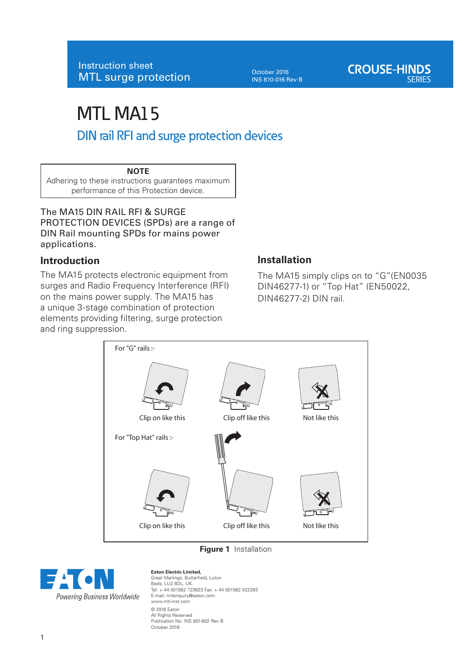October 2016 INS 810-016 Rev B

# MTL MA15 DIN rail RFI and surge protection devices

## **NOTE**

Adhering to these instructions guarantees maximum performance of this Protection device.

The MA15 DIN RAIL RFI & SURGE PROTECTION DEVICES (SPDs) are a range of DIN Rail mounting SPDs for mains power applications.

## **Introduction**

The MA15 protects electronic equipment from surges and Radio Frequency Interference (RFI) on the mains power supply. The MA15 has a unique 3-stage combination of protection elements providing filtering, surge protection and ring suppression.

## **Installation**

The MA15 simply clips on to "G"(EN0035 DIN46277-1) or "Top Hat" (EN50022, DIN46277-2) DIN rail.



**Figure 1** Installation



**Eaton Electric Limited,**  Great Marlings, Butterfield, Luton Beds, LU2 8DL, UK. Tel: + 44 (0)1582 723633 Fax: + 44 (0)1582 422283 E-mail: mtlenquiry@eaton.com www.mtl-inst.com © 2016 Eaton All Rights Reserved Publication No. INS 801-602 Rev B October 2016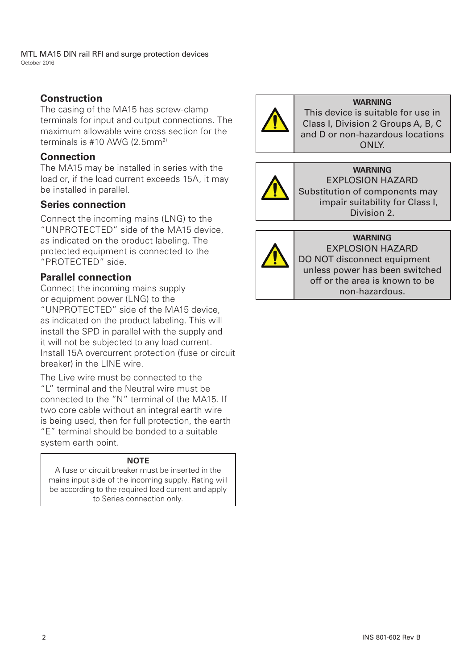MTL MA15 DIN rail RFI and surge protection devices October 2016

## **Construction**

The casing of the MA15 has screw-clamp terminals for input and output connections. The maximum allowable wire cross section for the terminals is #10 AWG (2.5mm2)

## **Connection**

The MA15 may be installed in series with the load or, if the load current exceeds 15A, it may be installed in parallel.

## **Series connection**

Connect the incoming mains (LNG) to the "UNPROTECTED" side of the MA15 device, as indicated on the product labeling. The protected equipment is connected to the "PROTECTED" side.

## **Parallel connection**

Connect the incoming mains supply or equipment power (LNG) to the "UNPROTECTED" side of the MA15 device, as indicated on the product labeling. This will install the SPD in parallel with the supply and it will not be subjected to any load current. Install 15A overcurrent protection (fuse or circuit breaker) in the LINE wire.

The Live wire must be connected to the "L" terminal and the Neutral wire must be connected to the "N" terminal of the MA15. If two core cable without an integral earth wire is being used, then for full protection, the earth "E" terminal should be bonded to a suitable system earth point.

## **NOTE**

A fuse or circuit breaker must be inserted in the mains input side of the incoming supply. Rating will be according to the required load current and apply to Series connection only.



## **WARNING**

This device is suitable for use in Class I, Division 2 Groups A, B, C and D or non-hazardous locations **ONLY** 



## **WARNING**

EXPLOSION HAZARD Substitution of components may impair suitability for Class I, Division 2.



#### **WARNING** EXPLOSION HAZARD

DO NOT disconnect equipment unless power has been switched off or the area is known to be non-hazardous.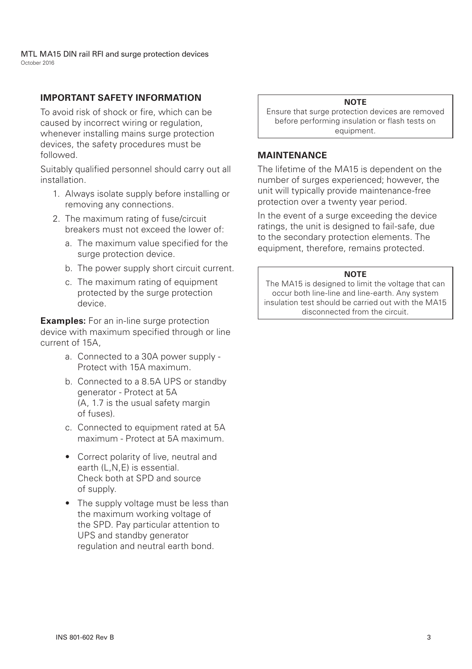MTL MA15 DIN rail RFI and surge protection devices October 2016

## **IMPORTANT SAFETY INFORMATION**

To avoid risk of shock or fire, which can be caused by incorrect wiring or regulation, whenever installing mains surge protection devices, the safety procedures must be followed.

Suitably qualified personnel should carry out all installation.

- 1. Always isolate supply before installing or removing any connections.
- 2. The maximum rating of fuse/circuit breakers must not exceed the lower of:
	- a. The maximum value specified for the surge protection device.
	- b. The power supply short circuit current.
	- c. The maximum rating of equipment protected by the surge protection device.

**Examples:** For an in-line surge protection device with maximum specified through or line current of 15A,

- a. Connected to a 30A power supply Protect with 15A maximum.
- b. Connected to a 8.5A UPS or standby generator - Protect at 5A (A, 1.7 is the usual safety margin of fuses).
- c. Connected to equipment rated at 5A maximum - Protect at 5A maximum.
- Correct polarity of live, neutral and earth (L,N,E) is essential. Check both at SPD and source of supply.
- The supply voltage must be less than the maximum working voltage of the SPD. Pay particular attention to UPS and standby generator regulation and neutral earth bond.

### **NOTE**

Ensure that surge protection devices are removed before performing insulation or flash tests on equipment.

## **MAINTENANCE**

The lifetime of the MA15 is dependent on the number of surges experienced; however, the unit will typically provide maintenance-free protection over a twenty year period.

In the event of a surge exceeding the device ratings, the unit is designed to fail-safe, due to the secondary protection elements. The equipment, therefore, remains protected.

#### **NOTE**

The MA15 is designed to limit the voltage that can occur both line-line and line-earth. Any system insulation test should be carried out with the MA15 disconnected from the circuit.